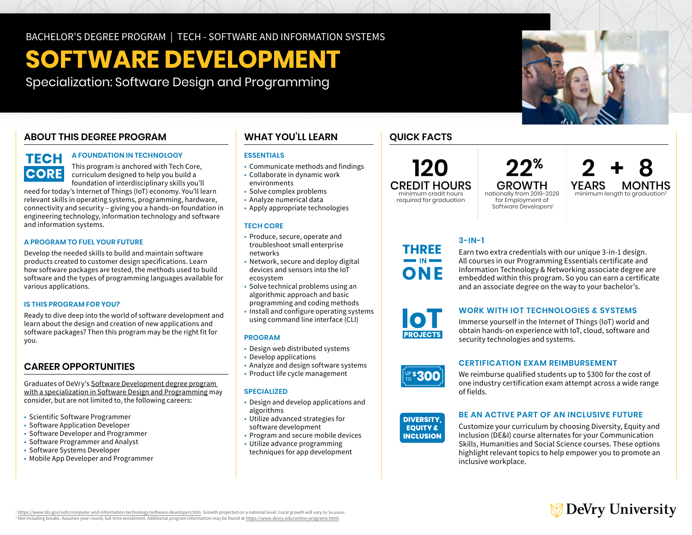# **SOFTWARE DEVELOPMENT**

Specialization: Software Design and Programming

### **ABOUT THIS DEGREE PROGRAM**

## **TECH CORE**

### **A FOUNDATION IN TECHNOLOGY**

This program is anchored with Tech Core, curriculum designed to help you build a foundation of interdisciplinary skills you'll

need for today's Internet of Things (IoT) economy. You'll learn relevant skills in operating systems, programming, hardware, connectivity and security – giving you a hands-on foundation in engineering technology, information technology and software and information systems.

### **A PROGRAM TO FUEL YOUR FUTURE**

Develop the needed skills to build and maintain software products created to customer design specifications. Learn how software packages are tested, the methods used to build software and the types of programming languages available for various applications.

### **IS THIS PROGRAM FOR YOU?**

Ready to dive deep into the world of software development and learn about the design and creation of new applications and software packages? Then this program may be the right fit for you.

### **CAREER OPPORTUNITIES**

Graduates of DeVry's [Software Development degree program](https://www.devry.edu/online-programs/bachelors-degrees/software-development/software-design-and-programming-specialization.html)  [with a specialization in Software Design and Programming](https://www.devry.edu/online-programs/bachelors-degrees/software-development/software-design-and-programming-specialization.html) may consider, but are not limited to, the following careers:

- Scientific Software Programmer
- Software Application Developer
- Software Developer and Programmer
- Software Programmer and Analyst
- Software Systems Developer
- Mobile App Developer and Programmer

### **WHAT YOU'LL LEARN**

### **ESSENTIALS**

- Communicate methods and findings
- Collaborate in dynamic work environments
- Solve complex problems
- Analyze numerical data
- Apply appropriate technologies

### **TECH CORE**

- Produce, secure, operate and troubleshoot small enterprise networks
- Network, secure and deploy digital devices and sensors into the IoT ecosystem
- Solve technical problems using an algorithmic approach and basic
- programming and coding methods
- Install and configure operating systems using command line interface (CLI)

### **PROGRAM**

- Design web distributed systems
- Develop applications
- Analyze and design software systems
- Product life cycle management

### **SPECIALIZED**

- Design and develop applications and algorithms
- Utilize advanced strategies for software development
- Program and secure mobile devices
- Utilize advance programming techniques for app development

### **QUICK FACTS**

**120**  CREDIT HOURS minimum credit hours required for graduation

nationally from 2019-2029 for Employment of Software Developers<sup>1</sup>

**22<sup>%</sup> 2 + 8**<br>GROWTH YEARS MONTHS GROWTH YEARS MONTHS<br>onally from 2019-2029 minimum length to graduation<sup>2</sup>

THREE ONF **3-IN-1** 

### **WORK WITH IOT TECHNOLOGIES & SYSTEMS**

Immerse yourself in the Internet of Things (IoT) world and obtain hands-on experience with IoT, cloud, software and security technologies and systems.

Earn two extra credentials with our unique 3-in-1 design. All courses in our Programming Essentials certificate and Information Technology & Networking associate degree are embedded within this program. So you can earn a certificate and an associate degree on the way to your bachelor's.

### **CERTIFICATION EXAM REIMBURSEMENT**

We reimburse qualified students up to \$300 for the cost of one industry certification exam attempt across a wide range of fields.



### **BE AN ACTIVE PART OF AN INCLUSIVE FUTURE**

Customize your curriculum by choosing Diversity, Equity and Inclusion (DE&I) course alternates for your Communication Skills, Humanities and Social Science courses. These options highlight relevant topics to help empower you to promote an inclusive workplace.



<https://www.bls.gov/ooh/computer-and-information-technology/software-developers.htm>. Growth projected on a national level. Local growth will vary by location. <sup>2</sup> Not including breaks. Assumes year-round, full-time enrollment. Additional program information may be found at<https://www.devry.edu/online-programs.html>.







**UP \$300**